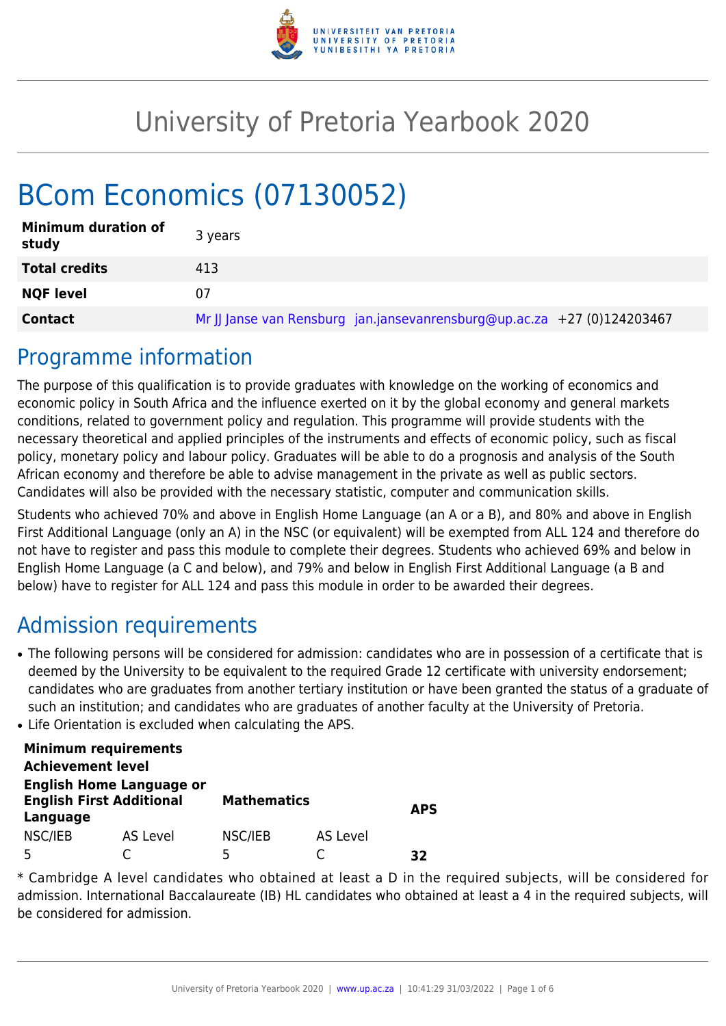

# University of Pretoria Yearbook 2020

# BCom Economics (07130052)

| <b>Minimum duration of</b><br>study | 3 years                                                                 |
|-------------------------------------|-------------------------------------------------------------------------|
| <b>Total credits</b>                | 413                                                                     |
| <b>NQF level</b>                    | 07                                                                      |
| <b>Contact</b>                      | Mr JJ Janse van Rensburg jan.jansevanrensburg@up.ac.za +27 (0)124203467 |

### Programme information

The purpose of this qualification is to provide graduates with knowledge on the working of economics and economic policy in South Africa and the influence exerted on it by the global economy and general markets conditions, related to government policy and regulation. This programme will provide students with the necessary theoretical and applied principles of the instruments and effects of economic policy, such as fiscal policy, monetary policy and labour policy. Graduates will be able to do a prognosis and analysis of the South African economy and therefore be able to advise management in the private as well as public sectors. Candidates will also be provided with the necessary statistic, computer and communication skills.

Students who achieved 70% and above in English Home Language (an A or a B), and 80% and above in English First Additional Language (only an A) in the NSC (or equivalent) will be exempted from ALL 124 and therefore do not have to register and pass this module to complete their degrees. Students who achieved 69% and below in English Home Language (a C and below), and 79% and below in English First Additional Language (a B and below) have to register for ALL 124 and pass this module in order to be awarded their degrees.

## Admission requirements

- The following persons will be considered for admission: candidates who are in possession of a certificate that is deemed by the University to be equivalent to the required Grade 12 certificate with university endorsement; candidates who are graduates from another tertiary institution or have been granted the status of a graduate of such an institution; and candidates who are graduates of another faculty at the University of Pretoria.
- Life Orientation is excluded when calculating the APS.

| <b>Minimum requirements</b>                                                    |          |                    |                 |            |  |
|--------------------------------------------------------------------------------|----------|--------------------|-----------------|------------|--|
| <b>Achievement level</b>                                                       |          |                    |                 |            |  |
| <b>English Home Language or</b><br><b>English First Additional</b><br>Language |          | <b>Mathematics</b> |                 | <b>APS</b> |  |
| NSC/IEB                                                                        | AS Level | NSC/IEB            | <b>AS Level</b> |            |  |
|                                                                                |          | 5                  |                 | 37         |  |

\* Cambridge A level candidates who obtained at least a D in the required subjects, will be considered for admission. International Baccalaureate (IB) HL candidates who obtained at least a 4 in the required subjects, will be considered for admission.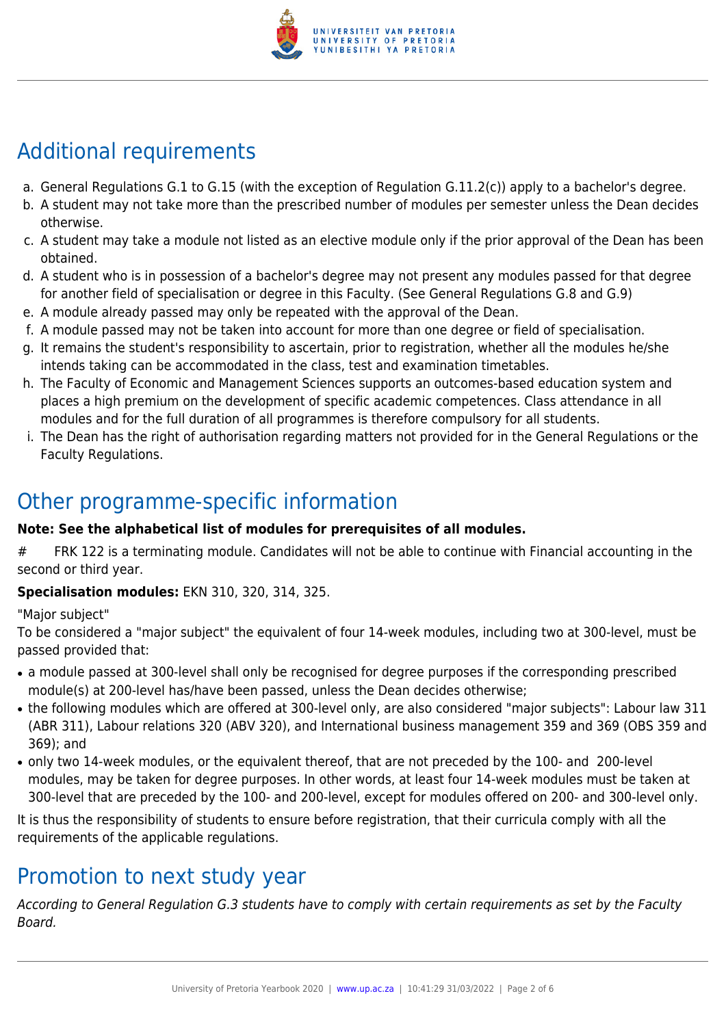

# Additional requirements

- a. General Regulations G.1 to G.15 (with the exception of Regulation G.11.2(c)) apply to a bachelor's degree.
- b. A student may not take more than the prescribed number of modules per semester unless the Dean decides otherwise.
- c. A student may take a module not listed as an elective module only if the prior approval of the Dean has been obtained.
- d. A student who is in possession of a bachelor's degree may not present any modules passed for that degree for another field of specialisation or degree in this Faculty. (See General Regulations G.8 and G.9)
- e. A module already passed may only be repeated with the approval of the Dean.
- f. A module passed may not be taken into account for more than one degree or field of specialisation.
- g. It remains the student's responsibility to ascertain, prior to registration, whether all the modules he/she intends taking can be accommodated in the class, test and examination timetables.
- h. The Faculty of Economic and Management Sciences supports an outcomes-based education system and places a high premium on the development of specific academic competences. Class attendance in all modules and for the full duration of all programmes is therefore compulsory for all students.
- i. The Dean has the right of authorisation regarding matters not provided for in the General Regulations or the Faculty Regulations.

## Other programme-specific information

#### **Note: See the alphabetical list of modules for prerequisites of all modules.**

# FRK 122 is a terminating module. Candidates will not be able to continue with Financial accounting in the second or third year.

#### **Specialisation modules:** EKN 310, 320, 314, 325.

"Major subject"

To be considered a "major subject" the equivalent of four 14-week modules, including two at 300-level, must be passed provided that:

- a module passed at 300-level shall only be recognised for degree purposes if the corresponding prescribed module(s) at 200-level has/have been passed, unless the Dean decides otherwise;
- the following modules which are offered at 300-level only, are also considered "major subjects": Labour law 311 (ABR 311), Labour relations 320 (ABV 320), and International business management 359 and 369 (OBS 359 and 369); and
- only two 14-week modules, or the equivalent thereof, that are not preceded by the 100- and 200-level modules, may be taken for degree purposes. In other words, at least four 14-week modules must be taken at 300-level that are preceded by the 100- and 200-level, except for modules offered on 200- and 300-level only.

It is thus the responsibility of students to ensure before registration, that their curricula comply with all the requirements of the applicable regulations.

## Promotion to next study year

According to General Regulation G.3 students have to comply with certain requirements as set by the Faculty Board.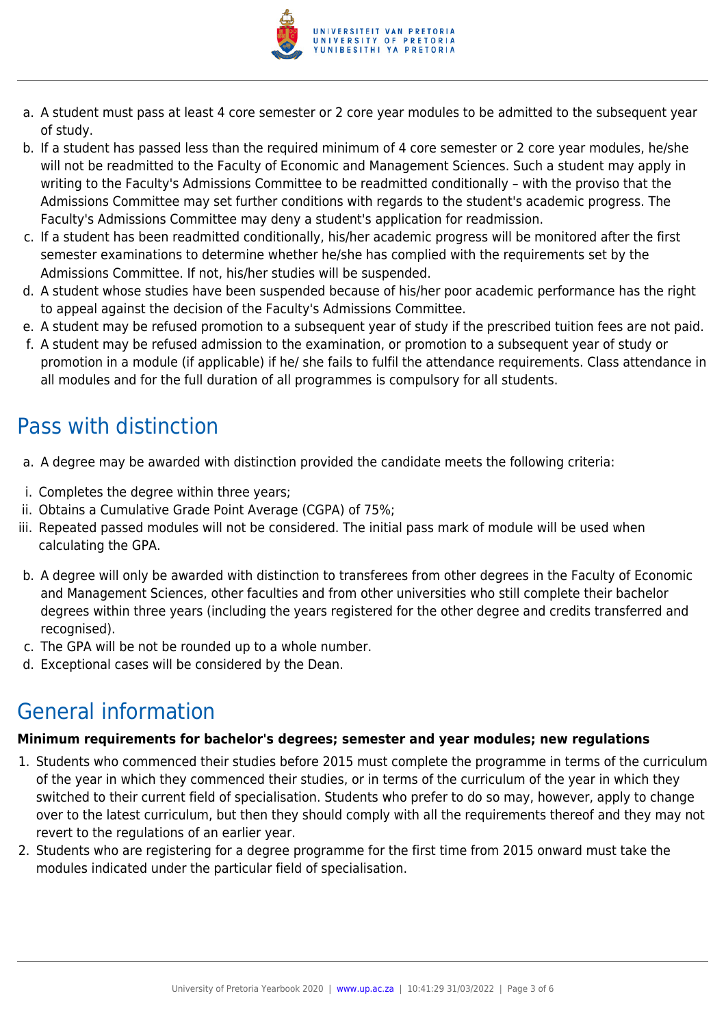

- a. A student must pass at least 4 core semester or 2 core year modules to be admitted to the subsequent year of study.
- b. If a student has passed less than the required minimum of 4 core semester or 2 core year modules, he/she will not be readmitted to the Faculty of Economic and Management Sciences. Such a student may apply in writing to the Faculty's Admissions Committee to be readmitted conditionally – with the proviso that the Admissions Committee may set further conditions with regards to the student's academic progress. The Faculty's Admissions Committee may deny a student's application for readmission.
- c. If a student has been readmitted conditionally, his/her academic progress will be monitored after the first semester examinations to determine whether he/she has complied with the requirements set by the Admissions Committee. If not, his/her studies will be suspended.
- d. A student whose studies have been suspended because of his/her poor academic performance has the right to appeal against the decision of the Faculty's Admissions Committee.
- e. A student may be refused promotion to a subsequent year of study if the prescribed tuition fees are not paid.
- f. A student may be refused admission to the examination, or promotion to a subsequent year of study or promotion in a module (if applicable) if he/ she fails to fulfil the attendance requirements. Class attendance in all modules and for the full duration of all programmes is compulsory for all students.

# Pass with distinction

- a. A degree may be awarded with distinction provided the candidate meets the following criteria:
- i. Completes the degree within three years;
- ii. Obtains a Cumulative Grade Point Average (CGPA) of 75%;
- iii. Repeated passed modules will not be considered. The initial pass mark of module will be used when calculating the GPA.
- b. A degree will only be awarded with distinction to transferees from other degrees in the Faculty of Economic and Management Sciences, other faculties and from other universities who still complete their bachelor degrees within three years (including the years registered for the other degree and credits transferred and recognised).
- c. The GPA will be not be rounded up to a whole number.
- d. Exceptional cases will be considered by the Dean.

# General information

#### **Minimum requirements for bachelor's degrees; semester and year modules; new regulations**

- 1. Students who commenced their studies before 2015 must complete the programme in terms of the curriculum of the year in which they commenced their studies, or in terms of the curriculum of the year in which they switched to their current field of specialisation. Students who prefer to do so may, however, apply to change over to the latest curriculum, but then they should comply with all the requirements thereof and they may not revert to the regulations of an earlier year.
- 2. Students who are registering for a degree programme for the first time from 2015 onward must take the modules indicated under the particular field of specialisation.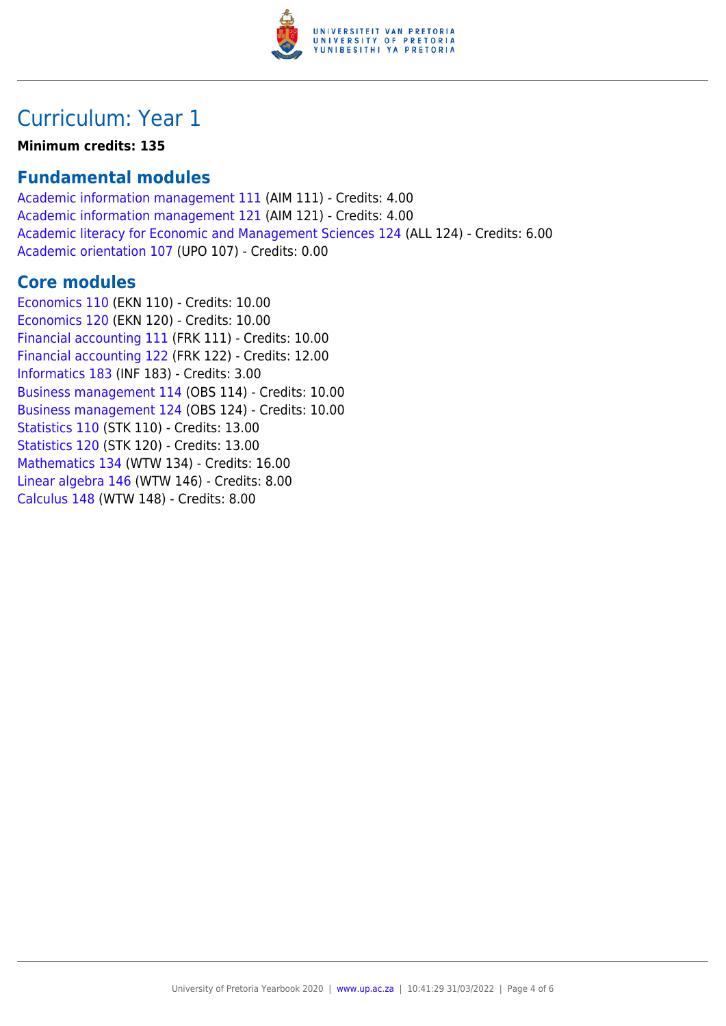

### Curriculum: Year 1

**Minimum credits: 135**

### **Fundamental modules**

[Academic information management 111](https://www.up.ac.za/yearbooks/2020/modules/view/AIM 111) (AIM 111) - Credits: 4.00 [Academic information management 121](https://www.up.ac.za/yearbooks/2020/modules/view/AIM 121) (AIM 121) - Credits: 4.00 [Academic literacy for Economic and Management Sciences 124](https://www.up.ac.za/yearbooks/2020/modules/view/ALL 124) (ALL 124) - Credits: 6.00 [Academic orientation 107](https://www.up.ac.za/yearbooks/2020/modules/view/UPO 107) (UPO 107) - Credits: 0.00

### **Core modules**

[Economics 110](https://www.up.ac.za/yearbooks/2020/modules/view/EKN 110) (EKN 110) - Credits: 10.00 [Economics 120](https://www.up.ac.za/yearbooks/2020/modules/view/EKN 120) (EKN 120) - Credits: 10.00 [Financial accounting 111](https://www.up.ac.za/yearbooks/2020/modules/view/FRK 111) (FRK 111) - Credits: 10.00 [Financial accounting 122](https://www.up.ac.za/yearbooks/2020/modules/view/FRK 122) (FRK 122) - Credits: 12.00 [Informatics 183](https://www.up.ac.za/yearbooks/2020/modules/view/INF 183) (INF 183) - Credits: 3.00 [Business management 114](https://www.up.ac.za/yearbooks/2020/modules/view/OBS 114) (OBS 114) - Credits: 10.00 [Business management 124](https://www.up.ac.za/yearbooks/2020/modules/view/OBS 124) (OBS 124) - Credits: 10.00 [Statistics 110](https://www.up.ac.za/yearbooks/2020/modules/view/STK 110) (STK 110) - Credits: 13.00 [Statistics 120](https://www.up.ac.za/yearbooks/2020/modules/view/STK 120) (STK 120) - Credits: 13.00 [Mathematics 134](https://www.up.ac.za/yearbooks/2020/modules/view/WTW 134) (WTW 134) - Credits: 16.00 [Linear algebra 146](https://www.up.ac.za/yearbooks/2020/modules/view/WTW 146) (WTW 146) - Credits: 8.00 [Calculus 148](https://www.up.ac.za/yearbooks/2020/modules/view/WTW 148) (WTW 148) - Credits: 8.00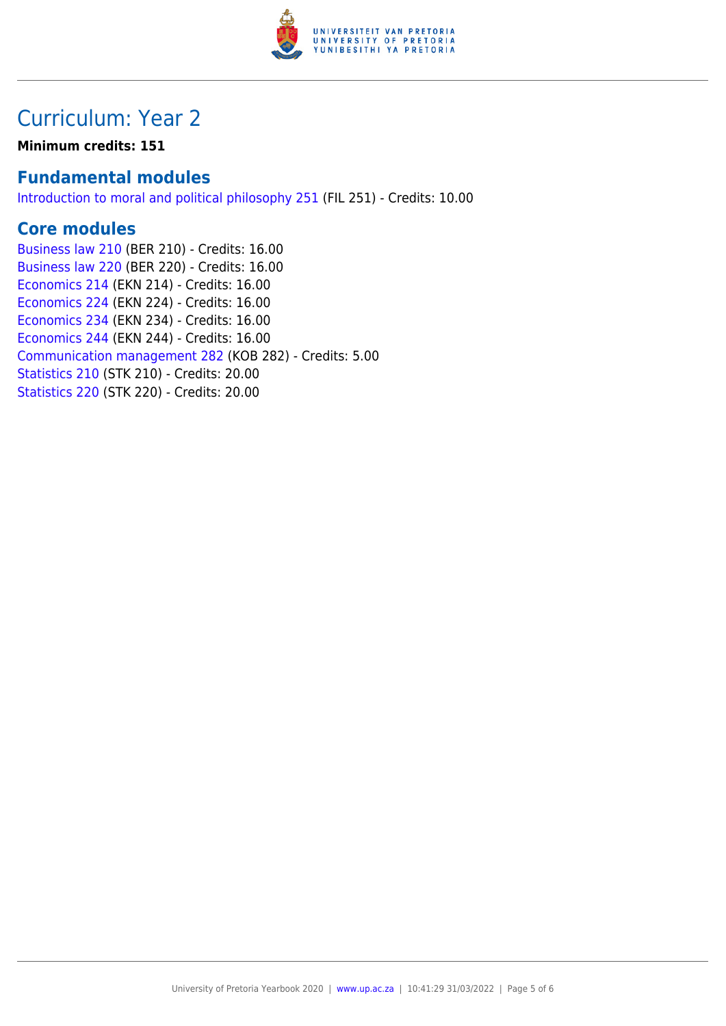

## Curriculum: Year 2

**Minimum credits: 151**

### **Fundamental modules**

[Introduction to moral and political philosophy 251](https://www.up.ac.za/yearbooks/2020/modules/view/FIL 251) (FIL 251) - Credits: 10.00

### **Core modules**

[Business law 210](https://www.up.ac.za/yearbooks/2020/modules/view/BER 210) (BER 210) - Credits: 16.00 [Business law 220](https://www.up.ac.za/yearbooks/2020/modules/view/BER 220) (BER 220) - Credits: 16.00 [Economics 214](https://www.up.ac.za/yearbooks/2020/modules/view/EKN 214) (EKN 214) - Credits: 16.00 [Economics 224](https://www.up.ac.za/yearbooks/2020/modules/view/EKN 224) (EKN 224) - Credits: 16.00 [Economics 234](https://www.up.ac.za/yearbooks/2020/modules/view/EKN 234) (EKN 234) - Credits: 16.00 [Economics 244](https://www.up.ac.za/yearbooks/2020/modules/view/EKN 244) (EKN 244) - Credits: 16.00 [Communication management 282](https://www.up.ac.za/yearbooks/2020/modules/view/KOB 282) (KOB 282) - Credits: 5.00 [Statistics 210](https://www.up.ac.za/yearbooks/2020/modules/view/STK 210) (STK 210) - Credits: 20.00 [Statistics 220](https://www.up.ac.za/yearbooks/2020/modules/view/STK 220) (STK 220) - Credits: 20.00